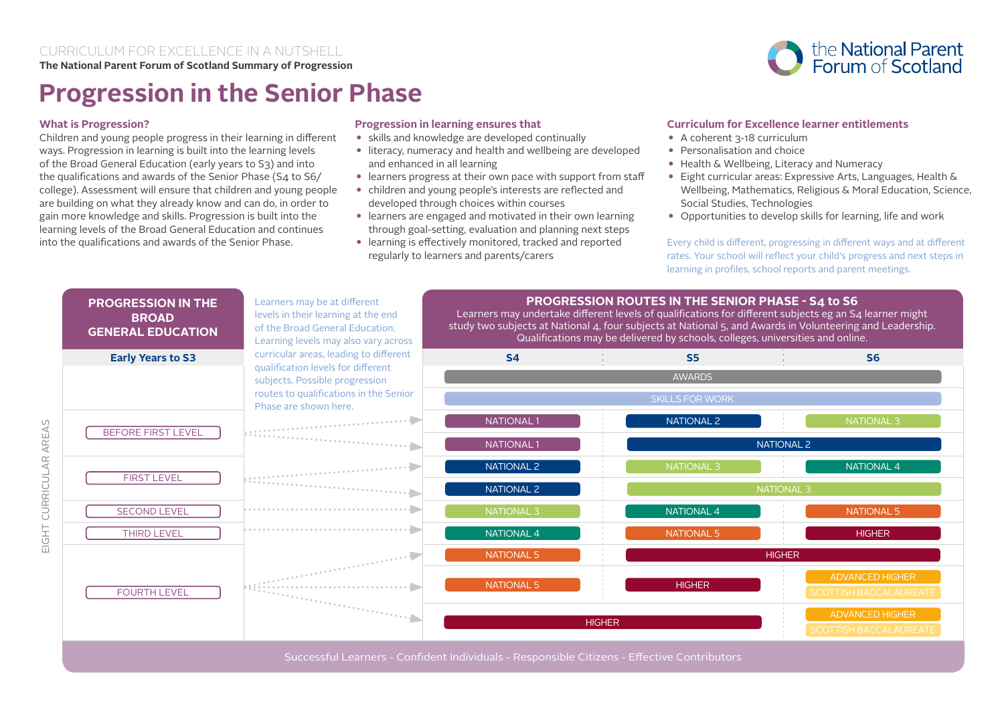

# **Progression in the Senior Phase**

## **What is Progression?**

Children and young people progress in their learning in different ways. Progression in learning is built into the learning levels of the Broad General Education (early years to S3) and into the qualifications and awards of the Senior Phase (S4 to S6/ college). Assessment will ensure that children and young people are building on what they already know and can do, in order to gain more knowledge and skills. Progression is built into the learning levels of the Broad General Education and continues into the qualifications and awards of the Senior Phase.

## **Progression in learning ensures that**

- skills and knowledge are developed continually
- literacy, numeracy and health and wellbeing are developed and enhanced in all learning
- learners progress at their own pace with support from staff
- children and young people's interests are reflected and developed through choices within courses
- learners are engaged and motivated in their own learning through goal-setting, evaluation and planning next steps
- learning is effectively monitored, tracked and reported regularly to learners and parents/carers

## **Curriculum for Excellence learner entitlements**

- A coherent 3-18 curriculum
- Personalisation and choice
- Health & Wellbeing, Literacy and Numeracy
- Eight curricular areas: Expressive Arts, Languages, Health & Wellbeing, Mathematics, Religious & Moral Education, Science, Social Studies, Technologies
- Opportunities to develop skills for learning, life and work

Every child is different, progressing in different ways and at different rates. Your school will reflect your child's progress and next steps in learning in profiles, school reports and parent meetings.